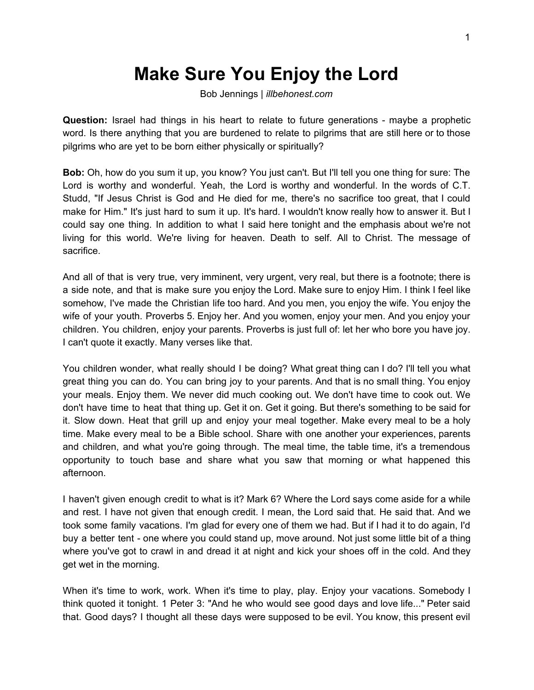## **Make Sure You Enjoy the Lord**

Bob Jennings | *illbehonest.com*

**Question:** Israel had things in his heart to relate to future generations - maybe a prophetic word. Is there anything that you are burdened to relate to pilgrims that are still here or to those pilgrims who are yet to be born either physically or spiritually?

**Bob:** Oh, how do you sum it up, you know? You just can't. But I'll tell you one thing for sure: The Lord is worthy and wonderful. Yeah, the Lord is worthy and wonderful. In the words of C.T. Studd, "If Jesus Christ is God and He died for me, there's no sacrifice too great, that I could make for Him." It's just hard to sum it up. It's hard. I wouldn't know really how to answer it. But I could say one thing. In addition to what I said here tonight and the emphasis about we're not living for this world. We're living for heaven. Death to self. All to Christ. The message of sacrifice.

And all of that is very true, very imminent, very urgent, very real, but there is a footnote; there is a side note, and that is make sure you enjoy the Lord. Make sure to enjoy Him. I think I feel like somehow, I've made the Christian life too hard. And you men, you enjoy the wife. You enjoy the wife of your youth. Proverbs 5. Enjoy her. And you women, enjoy your men. And you enjoy your children. You children, enjoy your parents. Proverbs is just full of: let her who bore you have joy. I can't quote it exactly. Many verses like that.

You children wonder, what really should I be doing? What great thing can I do? I'll tell you what great thing you can do. You can bring joy to your parents. And that is no small thing. You enjoy your meals. Enjoy them. We never did much cooking out. We don't have time to cook out. We don't have time to heat that thing up. Get it on. Get it going. But there's something to be said for it. Slow down. Heat that grill up and enjoy your meal together. Make every meal to be a holy time. Make every meal to be a Bible school. Share with one another your experiences, parents and children, and what you're going through. The meal time, the table time, it's a tremendous opportunity to touch base and share what you saw that morning or what happened this afternoon.

I haven't given enough credit to what is it? Mark 6? Where the Lord says come aside for a while and rest. I have not given that enough credit. I mean, the Lord said that. He said that. And we took some family vacations. I'm glad for every one of them we had. But if I had it to do again, I'd buy a better tent - one where you could stand up, move around. Not just some little bit of a thing where you've got to crawl in and dread it at night and kick your shoes off in the cold. And they get wet in the morning.

When it's time to work, work. When it's time to play, play. Enjoy your vacations. Somebody I think quoted it tonight. 1 Peter 3: "And he who would see good days and love life..." Peter said that. Good days? I thought all these days were supposed to be evil. You know, this present evil